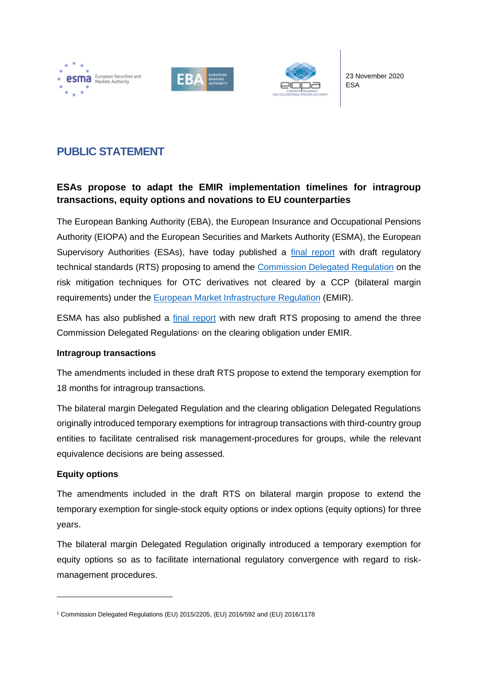





23 November 2020 ESA

# **PUBLIC STATEMENT**

## **ESAs propose to adapt the EMIR implementation timelines for intragroup transactions, equity options and novations to EU counterparties**

The European Banking Authority (EBA), the European Insurance and Occupational Pensions Authority (EIOPA) and the European Securities and Markets Authority (ESMA), the European Supervisory Authorities (ESAs), have today published a [final report](https://www.esma.europa.eu/sites/default/files/library/esas_2020_20_-_final_report_-_bilateral_margin_amendments_intragroup_equity_options_and_novations.pdf) with draft regulatory technical standards (RTS) proposing to amend the [Commission Delegated Regulation](https://eur-lex.europa.eu/legal-content/EN/TXT/?uri=uriserv%3AOJ.L_.2016.340.01.0009.01.ENG) on the risk mitigation techniques for OTC derivatives not cleared by a CCP (bilateral margin requirements) under the [European Market Infrastructure Regulation](https://eur-lex.europa.eu/legal-content/EN/TXT/?uri=celex%3A32012R0648) (EMIR).

ESMA has also published a [final report](https://www.esma.europa.eu/sites/default/files/library/esma70-156-3883_final_report_on_the_clearing_obligation_intragroups_and_novations.pdf) with new draft RTS proposing to amend the three Commission Delegated Regulations <sup>1</sup> on the clearing obligation under EMIR.

### **Intragroup transactions**

The amendments included in these draft RTS propose to extend the temporary exemption for 18 months for intragroup transactions.

The bilateral margin Delegated Regulation and the clearing obligation Delegated Regulations originally introduced temporary exemptions for intragroup transactions with third-country group entities to facilitate centralised risk management-procedures for groups, while the relevant equivalence decisions are being assessed.

### **Equity options**

The amendments included in the draft RTS on bilateral margin propose to extend the temporary exemption for single-stock equity options or index options (equity options) for three years.

The bilateral margin Delegated Regulation originally introduced a temporary exemption for equity options so as to facilitate international regulatory convergence with regard to riskmanagement procedures.

<sup>1</sup> Commission Delegated Regulations (EU) 2015/2205, (EU) 2016/592 and (EU) 2016/1178